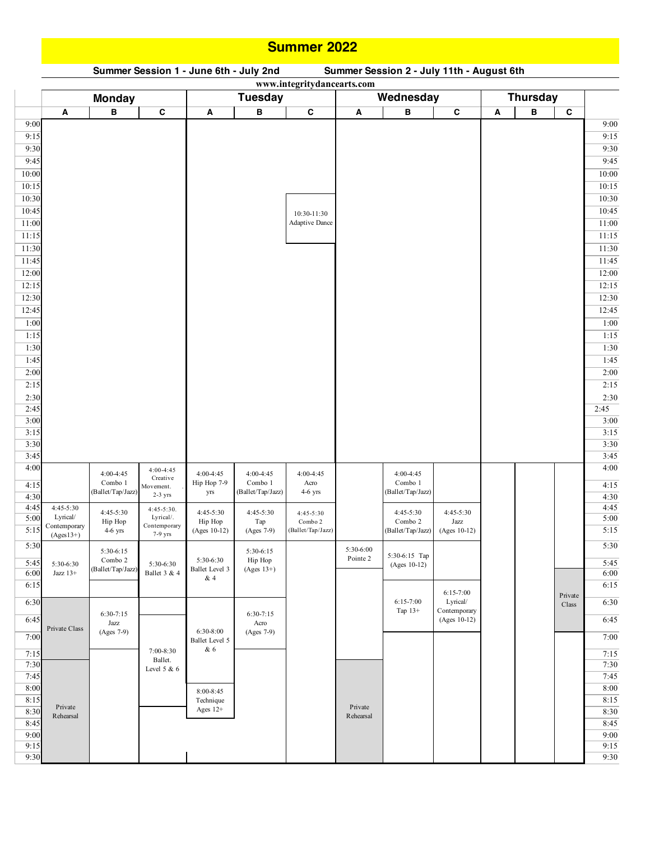## **Summer 2022**

## **A B C A B C A B C A B C** 9:00 9:00 9:15 9:15 9:30 9:30 9:45 9:45  $10:00$  and  $10:00$  and  $10:00$  and  $10:00$  and  $10:00$  and  $10:00$  and  $10:00$  and  $10:00$  and  $10:00$  and  $10:00$  and  $10:00$  and  $10:00$  and  $10:00$  and  $10:00$  and  $10:00$  and  $10:00$  and  $10:00$  and  $10:00$  and  $10:0$ 10:15 10:15  $10:30$  10:30  $10:45$  10:45 11:00 Adaptive Dance 11:00 Adaptive Dance 11:15 11:15  $11:30$  11:30 11:45 **11:45** 11:45  $12:00$  and  $12:00$  and  $12:00$  and  $12:00$  and  $12:00$  and  $12:00$  and  $12:00$  and  $12:00$  and  $12:00$  and  $12:00$  and  $12:00$  and  $12:00$  and  $12:00$  and  $12:00$  and  $12:00$  and  $12:00$  and  $12:00$  and  $12:00$  and  $12:0$ 12:15 12:15 12:15 12:15 12:15 12:15 12:15 12:15 12:15 12:15 12:15 12:15 12:15  $12:30$  and  $12:30$  and  $12:30$  and  $12:30$  and  $12:30$  and  $12:30$  and  $12:30$  and  $12:30$  and  $12:30$  and  $12:30$  and  $12:30$  and  $12:30$  and  $12:30$  and  $12:30$  and  $12:30$  and  $12:30$  and  $12:30$  and  $12:30$  and  $12:3$  $12:45$  12:45 1:00 1:00 1:15 1:15 1:30 1:30 1:45 1:45 2:00 2:00 2:15 2:15 2:30 2:30 2:45 2:45 3:00 3:00 3:15 3:15 3:30 3:30 3:45 3:45 4:00  $\left| \begin{array}{ccc} 4:00 & 4:00 \\ 4:00.4:45 & 4:00.4:45 \end{array} \right|$   $\left| \begin{array}{ccc} 4:00 & 4:00 \\ 4:00 & 4:00 \end{array} \right|$ 4:15 (Combo 1 | Movement. | Hip Hop 7-9 | Combo 1 | Acro | Combo 1 | Combo 1 | | | | 4:15  $4:30$   $4:30$   $4:30$   $4:30$ 4:45 4:45-5:30 4:45-5:30 4:45-5:30 4:45-5:30 4:45-5:20 4:45-5:20 4:45-5:20 4:45-5:20 4:45-5:20 4:45-5:20 4:45-5:20 4:45-5:20 4:45-5:20 4:45-5:20 4:45-5:20 4:45-5:20 4:45-5:20 4:45-5:20 4:45-5:20 4:45-5:20 4:45-5:20 4:45-5:2 5:00 Lyrical/ Lyrical/ Lyrical/ Hin Hope Tap Combo (Combo ) Combo ) Lyrical/ 5:00 5:15  $\frac{15}{2}$   $\frac{15}{2}$   $\frac{15}{2}$   $\frac{15}{2}$   $\frac{15}{2}$   $\frac{15}{2}$   $\frac{15}{2}$   $\frac{15}{2}$   $\frac{15}{2}$   $\frac{15}{2}$   $\frac{15}{2}$   $\frac{15}{2}$   $\frac{15}{2}$   $\frac{15}{2}$   $\frac{15}{2}$   $\frac{15}{2}$   $\frac{15}{2}$   $\frac{15}{2}$   $\frac{15}{2}$   $\frac{15}{$ 5:30 **1 5:30** 5:30 **5:30** 5:30 **5:30** 5:30 **5:30** 5:30 **5:30** 5:30 **5:30** 5:45 5:30-6:30  $\frac{1}{2}$  5:30-6:30 5:30-6:30 5:30-6:30  $\frac{1}{2}$  Hp Hp  $\frac{1}{2}$  1 unit 2  $\frac{1}{2}$   $\frac{1}{2}$   $\frac{1}{2}$   $\frac{1}{2}$   $\frac{1}{2}$   $\frac{1}{2}$   $\frac{1}{2}$   $\frac{1}{2}$  1 1  $\frac{1}{2}$  5:45  $6:00$  Jazz 13+  $\left[\text{b} \arctan \left( \frac{1}{2} \arctan \left( \frac{1}{2} \arctan \left( \frac{1}{2} \arctan \left( \frac{1}{2} \arctan \left( \frac{1}{2} \arctan \left( \frac{1}{2} \arctan \left( \frac{1}{2} \arctan \left( \frac{1}{2} \arctan \left( \frac{1}{2} \arctan \left( \frac{1}{2} \arctan \left( \frac{1}{2} \arctan \left( \frac{1}{2} \arctan \left( \frac{1}{2} \arctan \left( \frac{1}{2} \$ 6:15 6:15 6:30 **6:30 by the contract of the contract of the contract of the contract of the contract of the contract of the contract of the contract of the class is 6:30 <b>c** (ass) 6:30 6:45  $\frac{1}{27}$   $\frac{1}{27}$   $\frac{1}{27}$   $\frac{1}{27}$   $\frac{1}{27}$   $\frac{1}{27}$   $\frac{1}{27}$   $\frac{1}{27}$   $\frac{1}{27}$   $\frac{1}{27}$   $\frac{1}{27}$   $\frac{1}{27}$   $\frac{1}{27}$   $\frac{1}{27}$   $\frac{1}{27}$   $\frac{1}{27}$   $\frac{1}{27}$   $\frac{1}{27}$   $\frac{1}{27}$   $\frac{1}{2$  $7:00$   $(1.58 \times 7)$  Rallet Tevel 5  $(1.58 \times 7)$   $(1.58 \times 7)$   $(1.58 \times 7)$   $(1.58 \times 7)$   $(1.58 \times 7)$   $(1.58 \times 7)$   $(1.58 \times 7)$   $(1.58 \times 7)$   $(1.58 \times 7)$   $(1.58 \times 7)$   $(1.58 \times 7)$   $(1.58 \times 7)$   $(1.58 \times 7)$   $(1.58 \times 7)$   $(1.$  $7:15$  and  $7:15$  and  $7:15$  and  $7:15$  and  $7:15$ 7:30 7:30 7:45 7:45 8:00 and the second second second second and second and second second second in the second second second second second second second second second second second second second second second second second second second secon 8:15 8:15  $8:30$   $R_{\text{1.1}}$   $R_{\text{2.1}}$   $R_{\text{3.1}}$   $R_{\text{4.1}}$   $R_{\text{5.1}}$   $R_{\text{6.1}}$   $R_{\text{7}}$   $R_{\text{8}}$   $R_{\text{9}}$   $R_{\text{1.1}}$   $R_{\text{1.1}}$   $R_{\text{1.1}}$   $R_{\text{1.1}}$   $R_{\text{1.1}}$   $R_{\text{1.1}}$   $R_{\text{1.1}}$   $R_{\text{1.1}}$   $R_{\text{1.1}}$   $R_{\$ 8:45 8:45 9:00 9:00 9:15 9:15 9:30 9:30  $6:15-7:00$ Tap 13+ 6:30-8:00 Ballet Level 5 & 6 8:00-8:45 Technique Ages 12+ 4:00-4:45 Hip Hop 7-9 yrs 4:00-4:45 Combo 1 (Ballet/Tap/Jazz) 4:00-4:45 Acro 4-6 yrs **Tuesday Wednesday Thursday** 10:30-11:30 Adaptive Dance 4:00-4:45 Combo 1 (Ballet/Tap/Jazz)  **www.integritydancearts.com Monday** Private Class 4:00-4:45 Creative Movement. 2-3 yrs  $4.45 - 5.30$ Lyrical/. Contemporary 7-9 yrs 5:30-6:30 Ballet 3 & 4 7:00-8:30 Ballet. Level 5 & 6 4:45-5:30 Hip Hop (Ages 10-12) 4:45-5:30 Tap (Ages 7-9) 5:30-6:30 Ballet Level 3 & 4 5:30-6:15 Hip Hop  $(Ages 13+)$ 6:30-7:15 Acro (Ages 7-9) 4:45-5:30 Combo 2 (Ballet/Tap/Jazz) Private Rehearsal 4:45-5:30 Combo 2 (Ballet/Tap/Jazz) 5:30-6:15 Combo 2 (Ballet/Tap/Jazz) Private Class 4:45-5:30 Lyrical/ **Contemporary** (Ages13+) 5:30-6:30 Jazz 13+ 4:00-4:45 Combo 1 (Ballet/Tap/Jazz) 4:45-5:30 Hip Hop 4-6 yrs Private Rehearsal 6:30-7:15 Jazz (Ages 7-9) 4:45-5:30 Jazz (Ages 10-12) 5:30-6:15 Tap (Ages 10-12) 5:30-6:00 Pointe 2 6:15-7:00 Lyrical/ Contemporary (Ages 10-12)

## Summer Session 1 - June 6th - July 2nd Summer Session 2 - July 11th - August 6th